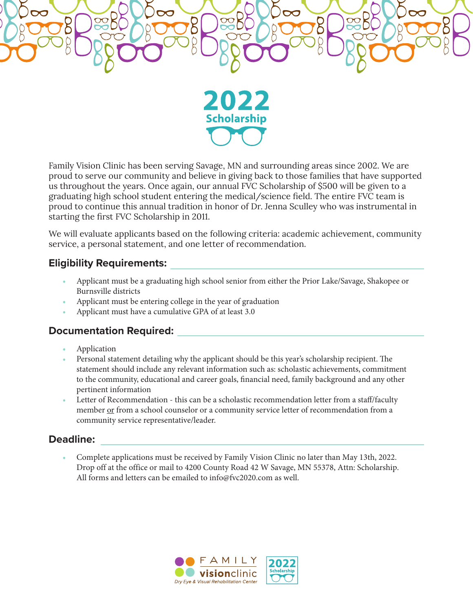

Family Vision Clinic has been serving Savage, MN and surrounding areas since 2002. We are proud to serve our community and believe in giving back to those families that have supported us throughout the years. Once again, our annual FVC Scholarship of \$500 will be given to a graduating high school student entering the medical/science field. The entire FVC team is proud to continue this annual tradition in honor of Dr. Jenna Sculley who was instrumental in starting the first FVC Scholarship in 2011.

We will evaluate applicants based on the following criteria: academic achievement, community service, a personal statement, and one letter of recommendation.

### **Eligibility Requirements:**

- Applicant must be a graduating high school senior from either the Prior Lake/Savage, Shakopee or Burnsville districts
- Applicant must be entering college in the year of graduation
- Applicant must have a cumulative GPA of at least 3.0

### **Documentation Required:**

- Application
- Personal statement detailing why the applicant should be this year's scholarship recipient. The statement should include any relevant information such as: scholastic achievements, commitment to the community, educational and career goals, financial need, family background and any other pertinent information
- Letter of Recommendation this can be a scholastic recommendation letter from a staff/faculty member or from a school counselor or a community service letter of recommendation from a community service representative/leader.

### **Deadline:**

• Complete applications must be received by Family Vision Clinic no later than May 13th, 2022. Drop off at the office or mail to 4200 County Road 42 W Savage, MN 55378, Attn: Scholarship. All forms and letters can be emailed to info@fvc2020.com as well.

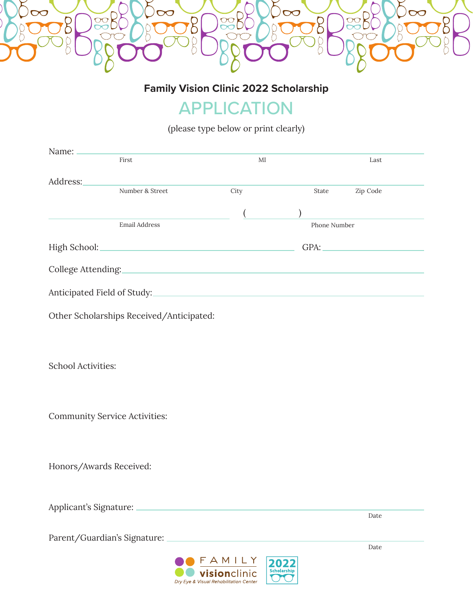

**Family Vision Clinic 2022 Scholarship**

# APPLICATION

(please type below or print clearly)

| First                                    |                                                                                                                       | MI        |              | Last     |
|------------------------------------------|-----------------------------------------------------------------------------------------------------------------------|-----------|--------------|----------|
|                                          |                                                                                                                       |           |              |          |
| Address:                                 | Number & Street                                                                                                       | City      | State        | Zip Code |
|                                          |                                                                                                                       |           |              |          |
|                                          |                                                                                                                       |           |              |          |
|                                          | Email Address                                                                                                         |           | Phone Number |          |
|                                          |                                                                                                                       |           |              | GPA:     |
|                                          |                                                                                                                       |           |              |          |
|                                          |                                                                                                                       |           |              |          |
|                                          |                                                                                                                       |           |              |          |
|                                          |                                                                                                                       |           |              |          |
| Other Scholarships Received/Anticipated: |                                                                                                                       |           |              |          |
|                                          |                                                                                                                       |           |              |          |
|                                          |                                                                                                                       |           |              |          |
|                                          |                                                                                                                       |           |              |          |
| <b>School Activities:</b>                |                                                                                                                       |           |              |          |
|                                          |                                                                                                                       |           |              |          |
|                                          |                                                                                                                       |           |              |          |
|                                          |                                                                                                                       |           |              |          |
| <b>Community Service Activities:</b>     |                                                                                                                       |           |              |          |
|                                          |                                                                                                                       |           |              |          |
|                                          |                                                                                                                       |           |              |          |
| Honors/Awards Received:                  |                                                                                                                       |           |              |          |
|                                          |                                                                                                                       |           |              |          |
|                                          |                                                                                                                       |           |              |          |
| Applicant's Signature: _                 | <u> 1980 - Johann Barn, amerikan bestemannten bestemannten bestemannten aus dem Europa von dem Europa von dem Eur</u> |           |              |          |
|                                          |                                                                                                                       |           |              | Date     |
|                                          |                                                                                                                       |           |              |          |
|                                          |                                                                                                                       |           |              | Date     |
|                                          |                                                                                                                       | F A M L Y |              |          |

*Visionclinic* Dry Eye & Visual Rehabilitation Center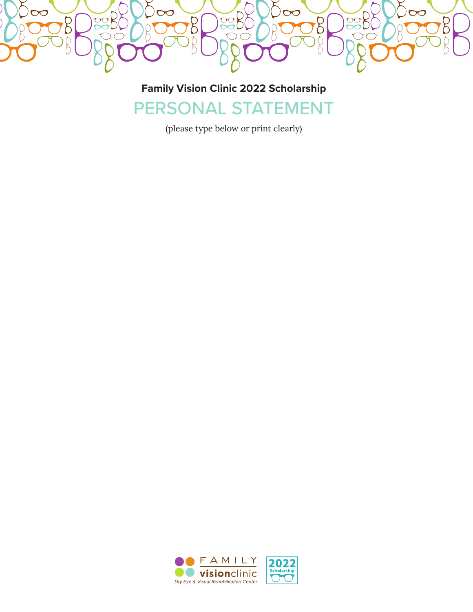

## **Family Vision Clinic 2022 Scholarship** PERSONAL STATEMENT

(please type below or print clearly)

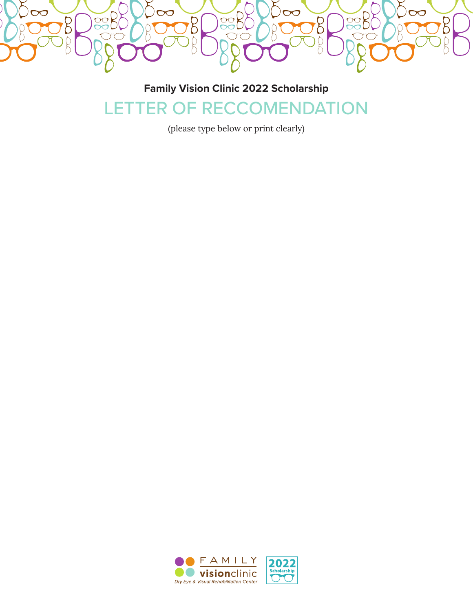

## **Family Vision Clinic 2022 Scholarship** LETTER OF RECCOMENDATION

(please type below or print clearly)